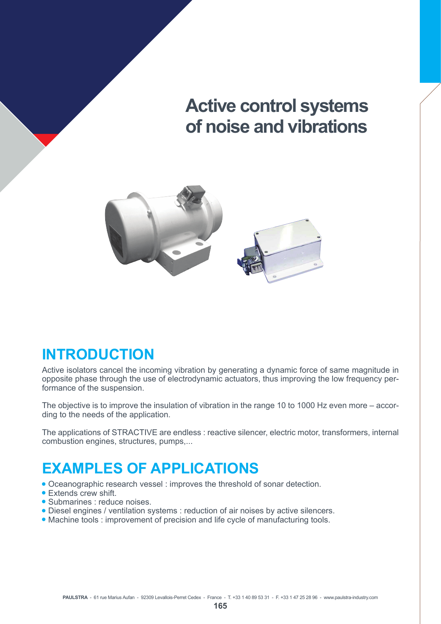# **Active control systems of noise and vibrations**



### **INTRODUCTION**

Active isolators cancel the incoming vibration by generating a dynamic force of same magnitude in opposite phase through the use of electrodynamic actuators, thus improving the low frequency performance of the suspension.

The objective is to improve the insulation of vibration in the range 10 to 1000 Hz even more – according to the needs of the application.

The applications of STRACTIVE are endless : reactive silencer, electric motor, transformers, internal combustion engines, structures, pumps,...

### **EXAMPLES OF APPLICATIONS**

- Oceanographic research vessel : improves the threshold of sonar detection.
- $\bullet$  Extends crew shift.
- Submarines : reduce noises.
- Diesel engines / ventilation systems : reduction of air noises by active silencers.
- Machine tools : improvement of precision and life cycle of manufacturing tools.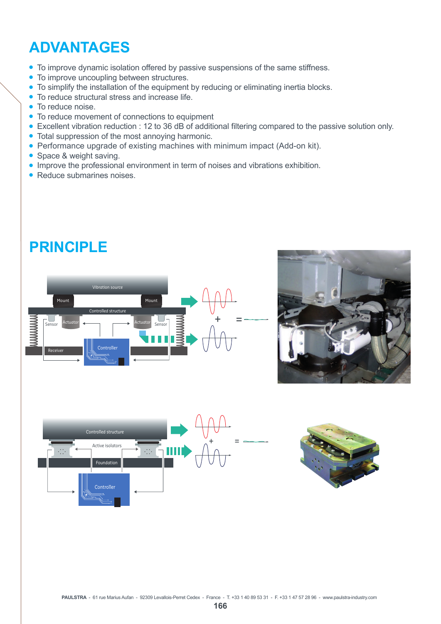# **ADVANTAGES**

- To improve dynamic isolation offered by passive suspensions of the same stiffness.
- To improve uncoupling between structures.
- To simplify the installation of the equipment by reducing or eliminating inertia blocks.
- $\bullet$  To reduce structural stress and increase life.
- To reduce noise
- $\bullet$  To reduce movement of connections to equipment
- Excellent vibration reduction : 12 to 36 dB of additional filtering compared to the passive solution only.
- $\bullet$  Total suppression of the most annoying harmonic.
- Performance upgrade of existing machines with minimum impact (Add-on kit).
- $\bullet$  Space & weight saving.
- Improve the professional environment in term of noises and vibrations exhibition.
- $\bullet$  Reduce submarines noises.

### **PRINCIPLE**